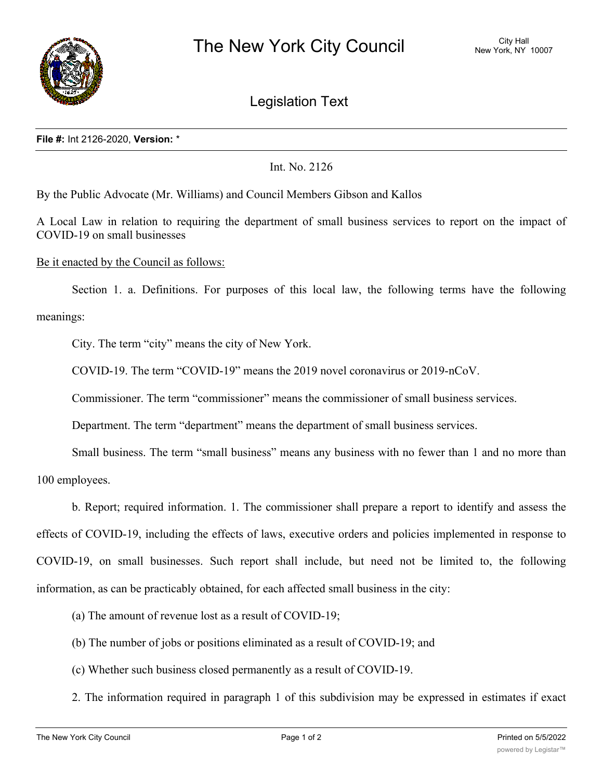

Legislation Text

Int. No. 2126

By the Public Advocate (Mr. Williams) and Council Members Gibson and Kallos

A Local Law in relation to requiring the department of small business services to report on the impact of COVID-19 on small businesses

Be it enacted by the Council as follows:

Section 1. a. Definitions. For purposes of this local law, the following terms have the following meanings:

City. The term "city" means the city of New York.

COVID-19. The term "COVID-19" means the 2019 novel coronavirus or 2019-nCoV.

Commissioner. The term "commissioner" means the commissioner of small business services.

Department. The term "department" means the department of small business services.

Small business. The term "small business" means any business with no fewer than 1 and no more than

100 employees.

b. Report; required information. 1. The commissioner shall prepare a report to identify and assess the effects of COVID-19, including the effects of laws, executive orders and policies implemented in response to COVID-19, on small businesses. Such report shall include, but need not be limited to, the following information, as can be practicably obtained, for each affected small business in the city:

(a) The amount of revenue lost as a result of COVID-19;

- (b) The number of jobs or positions eliminated as a result of COVID-19; and
- (c) Whether such business closed permanently as a result of COVID-19.
- 2. The information required in paragraph 1 of this subdivision may be expressed in estimates if exact